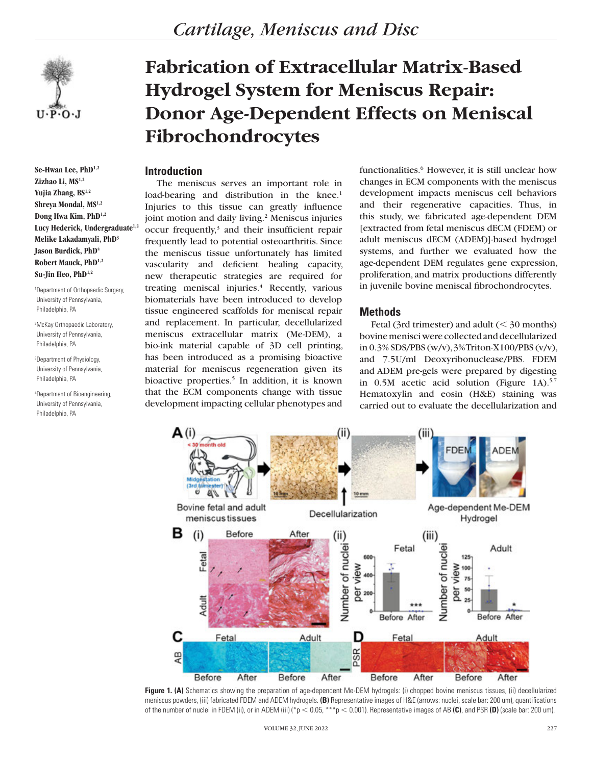

**Se-Hwan Lee, PhD1,2 Zizhao Li, MS1,2 Yujia Zhang, BS1,2 Shreya Mondal, MS1,2 Dong Hwa Kim, PhD1,2** Lucy Hederick, Undergraduate<sup>1,2</sup> **Melike Lakadamyali, PhD3 Jason Burdick, PhD<sup>4</sup> Robert Mauck, PhD1,2 Su-Jin Heo, PhD1,2**

1 Department of Orthopaedic Surgery, University of Pennsylvania, Philadelphia, PA

2 McKay Orthopaedic Laboratory, University of Pennsylvania, Philadelphia, PA

3 Department of Physiology, University of Pennsylvania, Philadelphia, PA

4 Department of Bioengineering, University of Pennsylvania, Philadelphia, PA

# **Fabrication of Extracellular Matrix-Based Hydrogel System for Meniscus Repair: Donor Age-Dependent Effects on Meniscal Fibrochondrocytes**

# **Introduction**

The meniscus serves an important role in load-bearing and distribution in the knee.<sup>1</sup> Injuries to this tissue can greatly influence joint motion and daily living.<sup>2</sup> Meniscus injuries occur frequently,<sup>3</sup> and their insufficient repair frequently lead to potential osteoarthritis. Since the meniscus tissue unfortunately has limited vascularity and deficient healing capacity, new therapeutic strategies are required for treating meniscal injuries.<sup>4</sup> Recently, various biomaterials have been introduced to develop tissue engineered scaffolds for meniscal repair and replacement. In particular, decellularized meniscus extracellular matrix (Me-DEM), a bio-ink material capable of 3D cell printing, has been introduced as a promising bioactive material for meniscus regeneration given its bioactive properties.<sup>5</sup> In addition, it is known that the ECM components change with tissue development impacting cellular phenotypes and

functionalities.<sup>6</sup> However, it is still unclear how changes in ECM components with the meniscus development impacts meniscus cell behaviors and their regenerative capacities. Thus, in this study, we fabricated age-dependent DEM [extracted from fetal meniscus dECM (FDEM) or adult meniscus dECM (ADEM)]-based hydrogel systems, and further we evaluated how the age-dependent DEM regulates gene expression, proliferation, and matrix productions differently in juvenile bovine meniscal fibrochondrocytes.

## **Methods**

Fetal (3rd trimester) and adult  $(< 30$  months) bovine menisci were collected and decellularized in 0.3% SDS/PBS (w/v), 3% Triton-X100/PBS (v/v), and 7.5U/ml Deoxyribonuclease/PBS. FDEM and ADEM pre-gels were prepared by digesting in 0.5M acetic acid solution (Figure 1A).5,7 Hematoxylin and eosin (H&E) staining was carried out to evaluate the decellularization and



Figure 1. (A) Schematics showing the preparation of age-dependent Me-DEM hydrogels: (i) chopped bovine meniscus tissues, (ii) decellularized meniscus powders, (iii) fabricated FDEM and ADEM hydrogels. **(B)** Representative images of H&E (arrows: nuclei, scale bar: 200 um), quantifications of the number of nuclei in FDEM (ii), or in ADEM (iii) ( $*p < 0.05$ ,  $***p < 0.001$ ). Representative images of AB (C), and PSR (D) (scale bar: 200 um).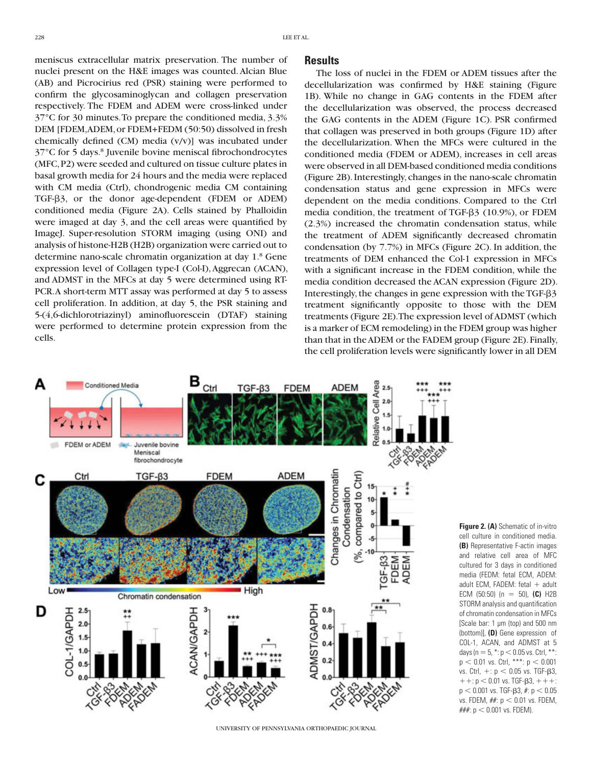meniscus extracellular matrix preservation. The number of nuclei present on the H&E images was counted. Alcian Blue (AB) and Picrocirius red (PSR) staining were performed to confirm the glycosaminoglycan and collagen preservation respectively. The FDEM and ADEM were cross-linked under 37°C for 30 minutes. To prepare the conditioned media, 3.3% DEM [FDEM, ADEM, or FDEM+FEDM (50:50) dissolved in fresh chemically defined (CM) media (v/v)] was incubated under 37°C for 5 days.8 Juvenile bovine meniscal fibrochondrocytes (MFC, P2) were seeded and cultured on tissue culture plates in basal growth media for 24 hours and the media were replaced with CM media (Ctrl), chondrogenic media CM containing TGF-b3, or the donor age-dependent (FDEM or ADEM) conditioned media (Figure 2A). Cells stained by Phalloidin were imaged at day 3, and the cell areas were quantified by ImageJ. Super-resolution STORM imaging (using ONI) and analysis of histone-H2B (H2B) organization were carried out to determine nano-scale chromatin organization at day 1.<sup>8</sup> Gene expression level of Collagen type-I (Col-I), Aggrecan (ACAN), and ADMST in the MFCs at day 5 were determined using RT-PCR. A short-term MTT assay was performed at day 5 to assess cell proliferation. In addition, at day 5, the PSR staining and 5-(4,6-dichlorotriazinyl) aminofluorescein (DTAF) staining were performed to determine protein expression from the cells.

#### **Results**

The loss of nuclei in the FDEM or ADEM tissues after the decellularization was confirmed by H&E staining (Figure 1B). While no change in GAG contents in the FDEM after the decellularization was observed, the process decreased the GAG contents in the ADEM (Figure 1C). PSR confirmed that collagen was preserved in both groups (Figure 1D) after the decellularization. When the MFCs were cultured in the conditioned media (FDEM or ADEM), increases in cell areas were observed in all DEM-based conditioned media conditions (Figure 2B). Interestingly, changes in the nano-scale chromatin condensation status and gene expression in MFCs were dependent on the media conditions. Compared to the Ctrl media condition, the treatment of TGF- $\beta$ 3 (10.9%), or FDEM (2.3%) increased the chromatin condensation status, while the treatment of ADEM significantly decreased chromatin condensation (by 7.7%) in MFCs (Figure 2C). In addition, the treatments of DEM enhanced the Col-1 expression in MFCs with a significant increase in the FDEM condition, while the media condition decreased the ACAN expression (Figure 2D). Interestingly, the changes in gene expression with the  $TGF- $\beta$ 3$ treatment significantly opposite to those with the DEM treatments (Figure 2E). The expression level of ADMST (which is a marker of ECM remodeling) in the FDEM group was higher than that in the ADEM or the FADEM group (Figure 2E). Finally, the cell proliferation levels were significantly lower in all DEM



UNIVERSITY OF PENNSYLVANIA ORTHOPAEDIC JOURNAL

**Figure 2. (A)** Schematic of in-vitro cell culture in conditioned media. **(B)** Representative F-actin images and relative cell area of MFC cultured for 3 days in conditioned media (FEDM: fetal ECM, ADEM: adult ECM, FADEM: fetal  $+$  adult ECM (50:50) (n = 50), (C) H2B STORM analysis and quantification of chromatin condensation in MFCs [Scale bar: 1 µm (top) and 500 nm (bottom)], **(D)** Gene expression of COL-1, ACAN, and ADMST at 5 days (n = 5,  $*$ : p < 0.05 vs. Ctrl,  $**$ :  $p < 0.01$  vs. Ctrl, \*\*\*:  $p < 0.001$ vs. Ctrl,  $+$ :  $p$  < 0.05 vs. TGF- $\beta$ 3,  $1+$ :  $p < 0.01$  vs. TGF- $\beta$ 3,  $+$  +  $+$ :  $p < 0.001$  vs. TGF- $\beta$ 3, #:  $p < 0.05$ vs. FDEM,  $#$ :  $p < 0.01$  vs. FDEM, ###:  $p < 0.001$  vs. FDEM).